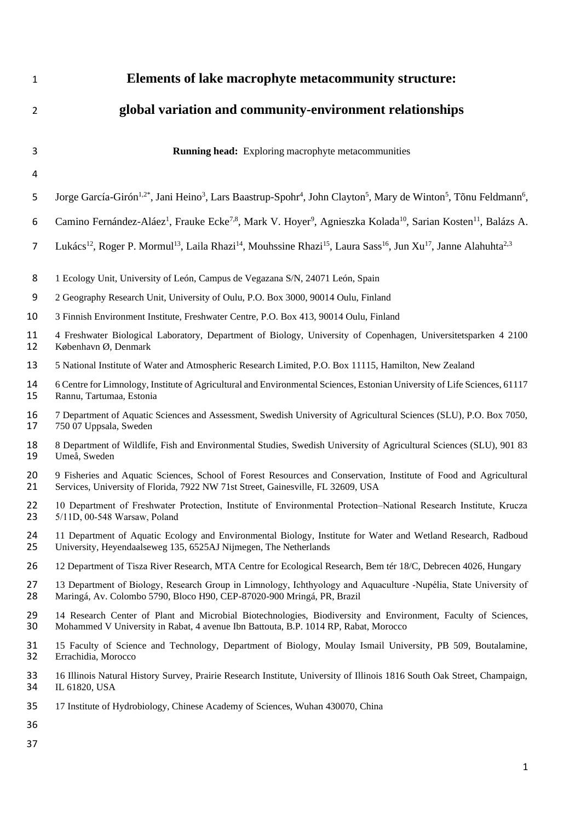| $\mathbf{1}$   | Elements of lake macrophyte metacommunity structure:                                                                                                                                                  |  |  |
|----------------|-------------------------------------------------------------------------------------------------------------------------------------------------------------------------------------------------------|--|--|
| $\overline{2}$ | global variation and community-environment relationships                                                                                                                                              |  |  |
| 3              | <b>Running head:</b> Exploring macrophyte metacommunities                                                                                                                                             |  |  |
| 4              |                                                                                                                                                                                                       |  |  |
| 5              | Jorge García-Girón <sup>1,2*</sup> , Jani Heino <sup>3</sup> , Lars Baastrup-Spohr <sup>4</sup> , John Clayton <sup>5</sup> , Mary de Winton <sup>5</sup> , Tõnu Feldmann <sup>6</sup> ,              |  |  |
| 6              | Camino Fernández-Aláez <sup>1</sup> , Frauke Ecke <sup>7,8</sup> , Mark V. Hoyer <sup>9</sup> , Agnieszka Kolada <sup>10</sup> , Sarian Kosten <sup>11</sup> , Balázs A.                              |  |  |
| $\overline{7}$ | Lukács <sup>12</sup> , Roger P. Mormul <sup>13</sup> , Laila Rhazi <sup>14</sup> , Mouhssine Rhazi <sup>15</sup> , Laura Sass <sup>16</sup> , Jun Xu <sup>17</sup> , Janne Alahuhta <sup>2,3</sup>    |  |  |
| 8              | 1 Ecology Unit, University of León, Campus de Vegazana S/N, 24071 León, Spain                                                                                                                         |  |  |
| 9              | 2 Geography Research Unit, University of Oulu, P.O. Box 3000, 90014 Oulu, Finland                                                                                                                     |  |  |
| 10             | 3 Finnish Environment Institute, Freshwater Centre, P.O. Box 413, 90014 Oulu, Finland                                                                                                                 |  |  |
| 11<br>12       | 4 Freshwater Biological Laboratory, Department of Biology, University of Copenhagen, Universitetsparken 4 2100<br>København Ø, Denmark                                                                |  |  |
| 13             | 5 National Institute of Water and Atmospheric Research Limited, P.O. Box 11115, Hamilton, New Zealand                                                                                                 |  |  |
| 14<br>15       | 6 Centre for Limnology, Institute of Agricultural and Environmental Sciences, Estonian University of Life Sciences, 61117<br>Rannu, Tartumaa, Estonia                                                 |  |  |
| 16<br>17       | 7 Department of Aquatic Sciences and Assessment, Swedish University of Agricultural Sciences (SLU), P.O. Box 7050,<br>750 07 Uppsala, Sweden                                                          |  |  |
| 18<br>19       | 8 Department of Wildlife, Fish and Environmental Studies, Swedish University of Agricultural Sciences (SLU), 901 83<br>Umeå, Sweden                                                                   |  |  |
| 20<br>21       | 9 Fisheries and Aquatic Sciences, School of Forest Resources and Conservation, Institute of Food and Agricultural<br>Services, University of Florida, 7922 NW 71st Street, Gainesville, FL 32609, USA |  |  |
| 22<br>23       | 10 Department of Freshwater Protection, Institute of Environmental Protection-National Research Institute, Krucza<br>5/11D, 00-548 Warsaw, Poland                                                     |  |  |
| 24<br>25       | 11 Department of Aquatic Ecology and Environmental Biology, Institute for Water and Wetland Research, Radboud<br>University, Heyendaalseweg 135, 6525AJ Nijmegen, The Netherlands                     |  |  |
| 26             | 12 Department of Tisza River Research, MTA Centre for Ecological Research, Bem tér 18/C, Debrecen 4026, Hungary                                                                                       |  |  |
| 27<br>28       | 13 Department of Biology, Research Group in Limnology, Ichthyology and Aquaculture -Nupélia, State University of<br>Maringá, Av. Colombo 5790, Bloco H90, CEP-87020-900 Mringá, PR, Brazil            |  |  |
| 29<br>30       | 14 Research Center of Plant and Microbial Biotechnologies, Biodiversity and Environment, Faculty of Sciences,<br>Mohammed V University in Rabat, 4 avenue Ibn Battouta, B.P. 1014 RP, Rabat, Morocco  |  |  |
| 31<br>32       | 15 Faculty of Science and Technology, Department of Biology, Moulay Ismail University, PB 509, Boutalamine,<br>Errachidia, Morocco                                                                    |  |  |
| 33<br>34       | 16 Illinois Natural History Survey, Prairie Research Institute, University of Illinois 1816 South Oak Street, Champaign,<br>IL 61820, USA                                                             |  |  |
| 35             | 17 Institute of Hydrobiology, Chinese Academy of Sciences, Wuhan 430070, China                                                                                                                        |  |  |
| 36             |                                                                                                                                                                                                       |  |  |
| 37             |                                                                                                                                                                                                       |  |  |
|                | $\mathbf{1}$                                                                                                                                                                                          |  |  |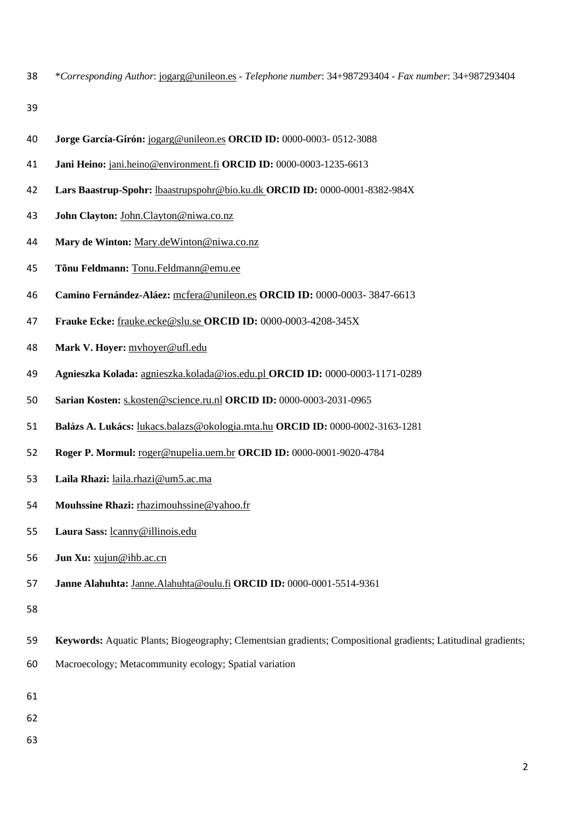\**Corresponding Author*: [jogarg@unileon.es](mailto:jogarg@unileon.es) - *Telephone number*: 34+987293404 - *Fax number*: 34+987293404

- **Jorge García-Girón:** jogarg@unileon.es **ORCID ID:** 0000-0003- 0512-3088
- **Jani Heino:** jani.heino@environment.fi **ORCID ID:** 0000-0003-1235-6613
- **Lars Baastrup-Spohr:** [lbaastrupspohr@bio.ku.dk](mailto:lbaastrupspohr@bio.ku.dk) **ORCID ID:** 0000-0001-8382-984X
- **John Clayton:** John.Clayton@niwa.co.nz
- **Mary de Winton:** [Mary.deWinton@niwa.co.nz](mailto:Mary.deWinton@niwa.co.nz)
- **Tõnu Feldmann:** [Tonu.Feldmann@emu.ee](mailto:Tonu.Feldmann@emu.ee)
- **Camino Fernández-Aláez:** mcfera@unileon.es **ORCID ID:** 0000-0003- 3847-6613
- **Frauke Ecke:** [frauke.ecke@slu.se](mailto:frauke.ecke@slu.se) **ORCID ID:** 0000-0003-4208-345X
- **Mark V. Hoyer:** [mvhoyer@ufl.edu](mailto:mvhoyer@ufl.edu)
- **Agnieszka Kolada:** [agnieszka.kolada@ios.edu.pl](mailto:agnieszka.kolada@ios.edu.pl) **ORCID ID:** 0000-0003-1171-0289
- **Sarian Kosten:** s.kosten@science.ru.nl **ORCID ID:** 0000-0003-2031-0965
- **Balázs A. Lukács:** [lukacs.balazs@okologia.mta.hu](mailto:lukacs.balazs@okologia.mta.hu) **ORCID ID:** 0000-0002-3163-1281
- **Roger P. Mormul:** roger@nupelia.uem.br **ORCID ID:** 0000-0001-9020-4784
- **Laila Rhazi:** laila.rhazi@um5.ac.ma
- **Mouhssine Rhazi:** [rhazimouhssine@yahoo.fr](mailto:rhazimouhssine@yahoo.fr)
- **Laura Sass:** [lcanny@illinois.edu](mailto:lcanny@illinois.edu)
- **Jun Xu:** [xujun@ihb.ac.cn](mailto:xujun@ihb.ac.cn)
- **Janne Alahuhta:** [Janne.Alahuhta@oulu.fi](mailto:Janne.Alahuhta@oulu.fi) **ORCID ID:** 0000-0001-5514-9361
- 
- **Keywords:** Aquatic Plants; Biogeography; Clementsian gradients; Compositional gradients; Latitudinal gradients;
- Macroecology; Metacommunity ecology; Spatial variation
- 
- 
-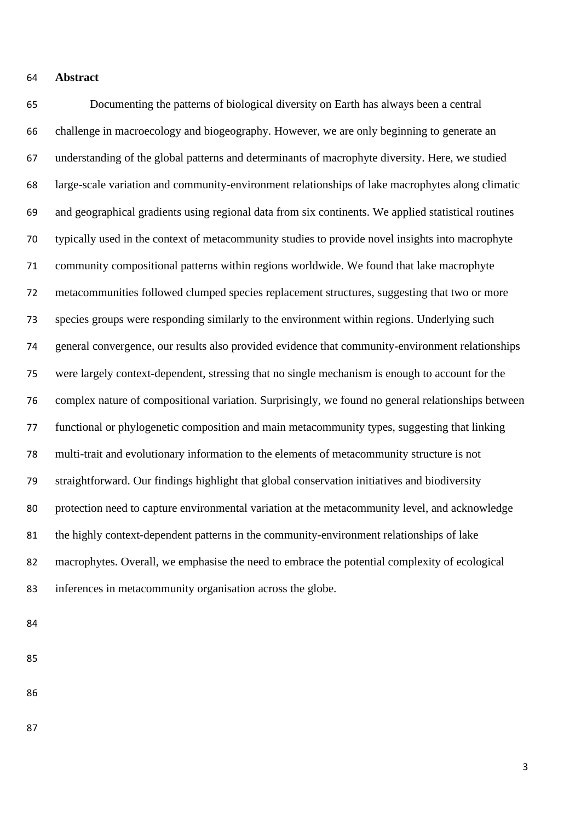## **Abstract**

 Documenting the patterns of biological diversity on Earth has always been a central challenge in macroecology and biogeography. However, we are only beginning to generate an understanding of the global patterns and determinants of macrophyte diversity. Here, we studied large-scale variation and community-environment relationships of lake macrophytes along climatic and geographical gradients using regional data from six continents. We applied statistical routines typically used in the context of metacommunity studies to provide novel insights into macrophyte community compositional patterns within regions worldwide. We found that lake macrophyte metacommunities followed clumped species replacement structures, suggesting that two or more species groups were responding similarly to the environment within regions. Underlying such general convergence, our results also provided evidence that community-environment relationships were largely context-dependent, stressing that no single mechanism is enough to account for the complex nature of compositional variation. Surprisingly, we found no general relationships between functional or phylogenetic composition and main metacommunity types, suggesting that linking multi-trait and evolutionary information to the elements of metacommunity structure is not straightforward. Our findings highlight that global conservation initiatives and biodiversity protection need to capture environmental variation at the metacommunity level, and acknowledge the highly context-dependent patterns in the community-environment relationships of lake macrophytes. Overall, we emphasise the need to embrace the potential complexity of ecological inferences in metacommunity organisation across the globe.

- 
- 
-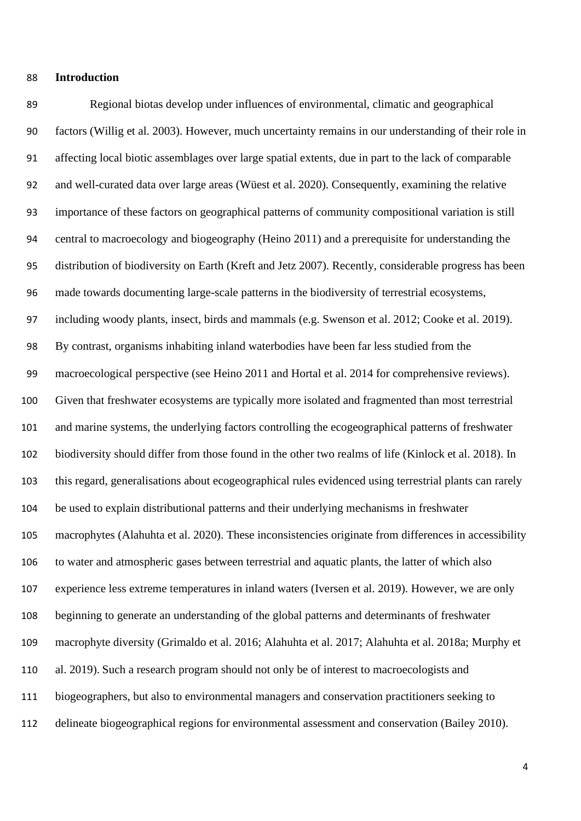### **Introduction**

 Regional biotas develop under influences of environmental, climatic and geographical factors (Willig et al. 2003). However, much uncertainty remains in our understanding of their role in affecting local biotic assemblages over large spatial extents, due in part to the lack of comparable and well-curated data over large areas (Wüest et al. 2020). Consequently, examining the relative importance of these factors on geographical patterns of community compositional variation is still central to macroecology and biogeography (Heino 2011) and a prerequisite for understanding the distribution of biodiversity on Earth (Kreft and Jetz 2007). Recently, considerable progress has been made towards documenting large-scale patterns in the biodiversity of terrestrial ecosystems, including woody plants, insect, birds and mammals (e.g. Swenson et al. 2012; Cooke et al. 2019). By contrast, organisms inhabiting inland waterbodies have been far less studied from the macroecological perspective (see Heino 2011 and Hortal et al. 2014 for comprehensive reviews). Given that freshwater ecosystems are typically more isolated and fragmented than most terrestrial and marine systems, the underlying factors controlling the ecogeographical patterns of freshwater biodiversity should differ from those found in the other two realms of life (Kinlock et al. 2018). In this regard, generalisations about ecogeographical rules evidenced using terrestrial plants can rarely be used to explain distributional patterns and their underlying mechanisms in freshwater macrophytes (Alahuhta et al. 2020). These inconsistencies originate from differences in accessibility to water and atmospheric gases between terrestrial and aquatic plants, the latter of which also experience less extreme temperatures in inland waters (Iversen et al. 2019). However, we are only beginning to generate an understanding of the global patterns and determinants of freshwater macrophyte diversity (Grimaldo et al. 2016; Alahuhta et al. 2017; Alahuhta et al. 2018a; Murphy et al. 2019). Such a research program should not only be of interest to macroecologists and biogeographers, but also to environmental managers and conservation practitioners seeking to delineate biogeographical regions for environmental assessment and conservation (Bailey 2010).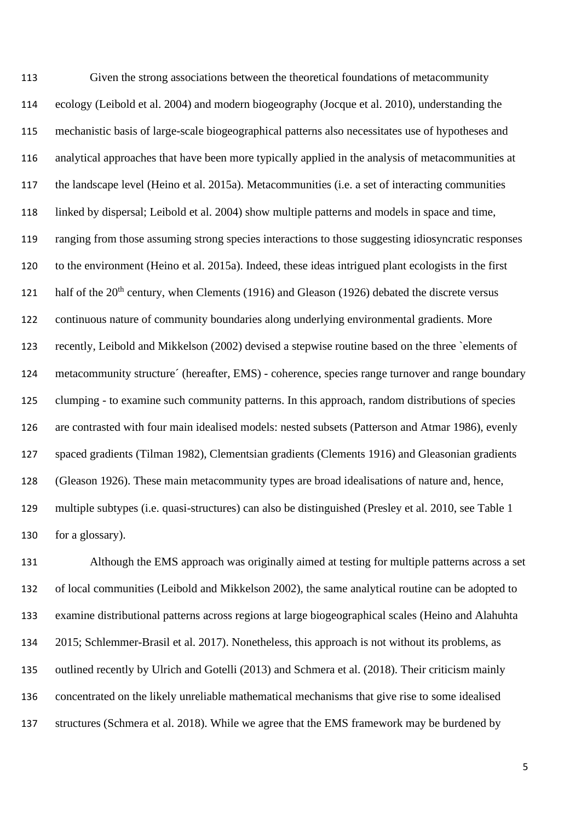Given the strong associations between the theoretical foundations of metacommunity ecology (Leibold et al. 2004) and modern biogeography (Jocque et al. 2010), understanding the mechanistic basis of large-scale biogeographical patterns also necessitates use of hypotheses and analytical approaches that have been more typically applied in the analysis of metacommunities at the landscape level (Heino et al. 2015a). Metacommunities (i.e. a set of interacting communities linked by dispersal; Leibold et al. 2004) show multiple patterns and models in space and time, ranging from those assuming strong species interactions to those suggesting idiosyncratic responses to the environment (Heino et al. 2015a). Indeed, these ideas intrigued plant ecologists in the first half of the  $20<sup>th</sup>$  century, when Clements (1916) and Gleason (1926) debated the discrete versus continuous nature of community boundaries along underlying environmental gradients. More recently, Leibold and Mikkelson (2002) devised a stepwise routine based on the three `elements of metacommunity structure´ (hereafter, EMS) - coherence, species range turnover and range boundary clumping - to examine such community patterns. In this approach, random distributions of species are contrasted with four main idealised models: nested subsets (Patterson and Atmar 1986), evenly spaced gradients (Tilman 1982), Clementsian gradients (Clements 1916) and Gleasonian gradients (Gleason 1926). These main metacommunity types are broad idealisations of nature and, hence, multiple subtypes (i.e. quasi-structures) can also be distinguished (Presley et al. 2010, see Table 1 for a glossary).

 Although the EMS approach was originally aimed at testing for multiple patterns across a set of local communities (Leibold and Mikkelson 2002), the same analytical routine can be adopted to examine distributional patterns across regions at large biogeographical scales (Heino and Alahuhta 2015; Schlemmer-Brasil et al. 2017). Nonetheless, this approach is not without its problems, as outlined recently by Ulrich and Gotelli (2013) and Schmera et al. (2018). Their criticism mainly concentrated on the likely unreliable mathematical mechanisms that give rise to some idealised structures (Schmera et al. 2018). While we agree that the EMS framework may be burdened by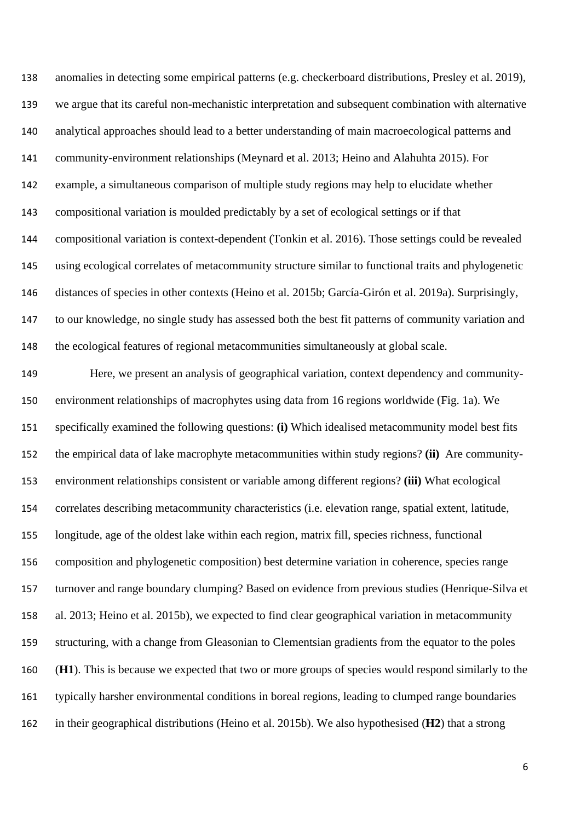anomalies in detecting some empirical patterns (e.g. checkerboard distributions, Presley et al. 2019), we argue that its careful non-mechanistic interpretation and subsequent combination with alternative analytical approaches should lead to a better understanding of main macroecological patterns and community-environment relationships (Meynard et al. 2013; Heino and Alahuhta 2015). For example, a simultaneous comparison of multiple study regions may help to elucidate whether compositional variation is moulded predictably by a set of ecological settings or if that compositional variation is context-dependent (Tonkin et al. 2016). Those settings could be revealed using ecological correlates of metacommunity structure similar to functional traits and phylogenetic distances of species in other contexts (Heino et al. 2015b; García-Girón et al. 2019a). Surprisingly, to our knowledge, no single study has assessed both the best fit patterns of community variation and the ecological features of regional metacommunities simultaneously at global scale.

 Here, we present an analysis of geographical variation, context dependency and community- environment relationships of macrophytes using data from 16 regions worldwide (Fig. 1a). We specifically examined the following questions: **(i)** Which idealised metacommunity model best fits the empirical data of lake macrophyte metacommunities within study regions? **(ii)** Are community- environment relationships consistent or variable among different regions? **(iii)** What ecological correlates describing metacommunity characteristics (i.e. elevation range, spatial extent, latitude, longitude, age of the oldest lake within each region, matrix fill, species richness, functional composition and phylogenetic composition) best determine variation in coherence, species range turnover and range boundary clumping? Based on evidence from previous studies (Henrique-Silva et al. 2013; Heino et al. 2015b), we expected to find clear geographical variation in metacommunity structuring, with a change from Gleasonian to Clementsian gradients from the equator to the poles (**H1**). This is because we expected that two or more groups of species would respond similarly to the typically harsher environmental conditions in boreal regions, leading to clumped range boundaries in their geographical distributions (Heino et al. 2015b). We also hypothesised (**H2**) that a strong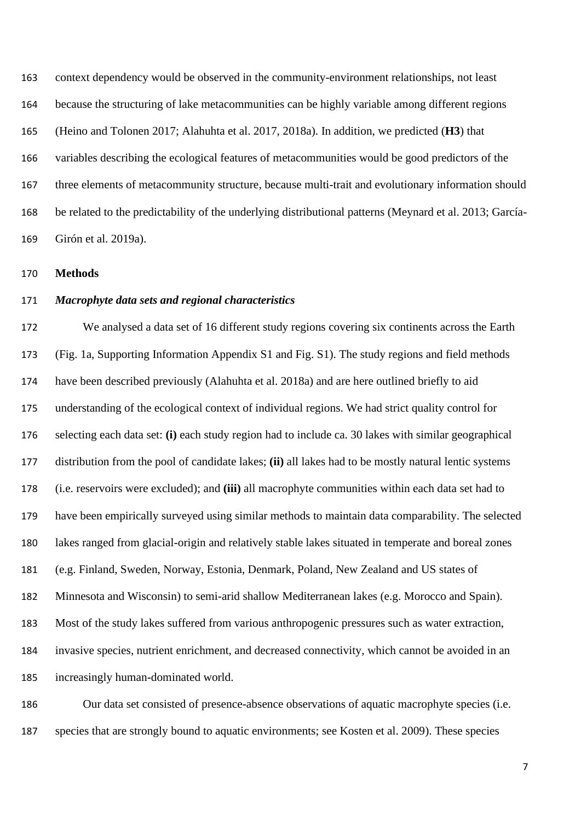context dependency would be observed in the community-environment relationships, not least because the structuring of lake metacommunities can be highly variable among different regions (Heino and Tolonen 2017; Alahuhta et al. 2017, 2018a). In addition, we predicted (**H3**) that variables describing the ecological features of metacommunities would be good predictors of the three elements of metacommunity structure, because multi-trait and evolutionary information should be related to the predictability of the underlying distributional patterns (Meynard et al. 2013; García-Girón et al. 2019a).

**Methods**

## *Macrophyte data sets and regional characteristics*

 We analysed a data set of 16 different study regions covering six continents across the Earth (Fig. 1a, Supporting Information Appendix S1 and Fig. S1). The study regions and field methods have been described previously (Alahuhta et al. 2018a) and are here outlined briefly to aid understanding of the ecological context of individual regions. We had strict quality control for selecting each data set: **(i)** each study region had to include ca. 30 lakes with similar geographical distribution from the pool of candidate lakes; **(ii)** all lakes had to be mostly natural lentic systems (i.e. reservoirs were excluded); and **(iii)** all macrophyte communities within each data set had to have been empirically surveyed using similar methods to maintain data comparability. The selected lakes ranged from glacial-origin and relatively stable lakes situated in temperate and boreal zones (e.g. Finland, Sweden, Norway, Estonia, Denmark, Poland, New Zealand and US states of Minnesota and Wisconsin) to semi-arid shallow Mediterranean lakes (e.g. Morocco and Spain). Most of the study lakes suffered from various anthropogenic pressures such as water extraction, invasive species, nutrient enrichment, and decreased connectivity, which cannot be avoided in an increasingly human-dominated world.

 Our data set consisted of presence-absence observations of aquatic macrophyte species (i.e. species that are strongly bound to aquatic environments; see Kosten et al. 2009). These species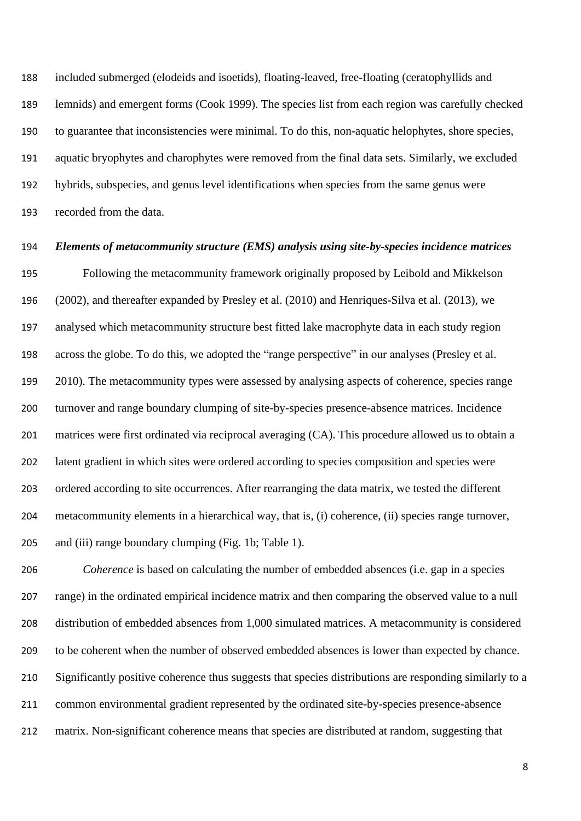included submerged (elodeids and isoetids), floating-leaved, free-floating (ceratophyllids and lemnids) and emergent forms (Cook 1999). The species list from each region was carefully checked to guarantee that inconsistencies were minimal. To do this, non-aquatic helophytes, shore species, aquatic bryophytes and charophytes were removed from the final data sets. Similarly, we excluded hybrids, subspecies, and genus level identifications when species from the same genus were recorded from the data.

# *Elements of metacommunity structure (EMS) analysis using site-by-species incidence matrices*

 Following the metacommunity framework originally proposed by Leibold and Mikkelson (2002), and thereafter expanded by Presley et al. (2010) and Henriques-Silva et al. (2013), we analysed which metacommunity structure best fitted lake macrophyte data in each study region across the globe. To do this, we adopted the "range perspective" in our analyses (Presley et al. 2010). The metacommunity types were assessed by analysing aspects of coherence, species range turnover and range boundary clumping of site-by-species presence-absence matrices. Incidence matrices were first ordinated via reciprocal averaging (CA). This procedure allowed us to obtain a latent gradient in which sites were ordered according to species composition and species were ordered according to site occurrences. After rearranging the data matrix, we tested the different metacommunity elements in a hierarchical way, that is, (i) coherence, (ii) species range turnover, and (iii) range boundary clumping (Fig. 1b; Table 1).

 *Coherence* is based on calculating the number of embedded absences (i.e. gap in a species range) in the ordinated empirical incidence matrix and then comparing the observed value to a null distribution of embedded absences from 1,000 simulated matrices. A metacommunity is considered to be coherent when the number of observed embedded absences is lower than expected by chance. Significantly positive coherence thus suggests that species distributions are responding similarly to a common environmental gradient represented by the ordinated site-by-species presence-absence matrix. Non-significant coherence means that species are distributed at random, suggesting that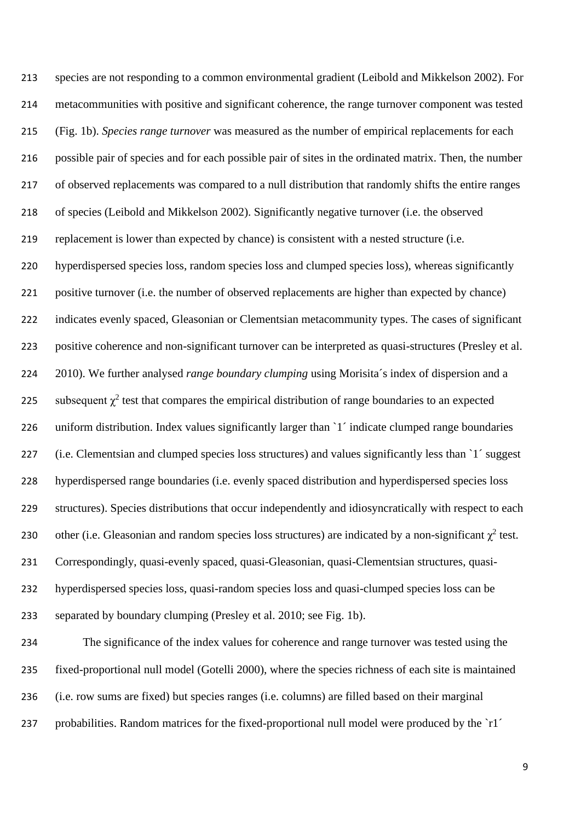species are not responding to a common environmental gradient (Leibold and Mikkelson 2002). For metacommunities with positive and significant coherence, the range turnover component was tested (Fig. 1b). *Species range turnover* was measured as the number of empirical replacements for each possible pair of species and for each possible pair of sites in the ordinated matrix. Then, the number of observed replacements was compared to a null distribution that randomly shifts the entire ranges of species (Leibold and Mikkelson 2002). Significantly negative turnover (i.e. the observed replacement is lower than expected by chance) is consistent with a nested structure (i.e. hyperdispersed species loss, random species loss and clumped species loss), whereas significantly positive turnover (i.e. the number of observed replacements are higher than expected by chance) indicates evenly spaced, Gleasonian or Clementsian metacommunity types. The cases of significant positive coherence and non-significant turnover can be interpreted as quasi-structures (Presley et al. 2010). We further analysed *range boundary clumping* using Morisita´s index of dispersion and a 225 subsequent  $\chi^2$  test that compares the empirical distribution of range boundaries to an expected 226 uniform distribution. Index values significantly larger than '1' indicate clumped range boundaries (i.e. Clementsian and clumped species loss structures) and values significantly less than `1´ suggest hyperdispersed range boundaries (i.e. evenly spaced distribution and hyperdispersed species loss structures). Species distributions that occur independently and idiosyncratically with respect to each 230 other (i.e. Gleasonian and random species loss structures) are indicated by a non-significant  $\chi^2$  test. Correspondingly, quasi-evenly spaced, quasi-Gleasonian, quasi-Clementsian structures, quasi- hyperdispersed species loss, quasi-random species loss and quasi-clumped species loss can be separated by boundary clumping (Presley et al. 2010; see Fig. 1b). The significance of the index values for coherence and range turnover was tested using the fixed-proportional null model (Gotelli 2000), where the species richness of each site is maintained

- (i.e. row sums are fixed) but species ranges (i.e. columns) are filled based on their marginal
- 237 probabilities. Random matrices for the fixed-proportional null model were produced by the `r1´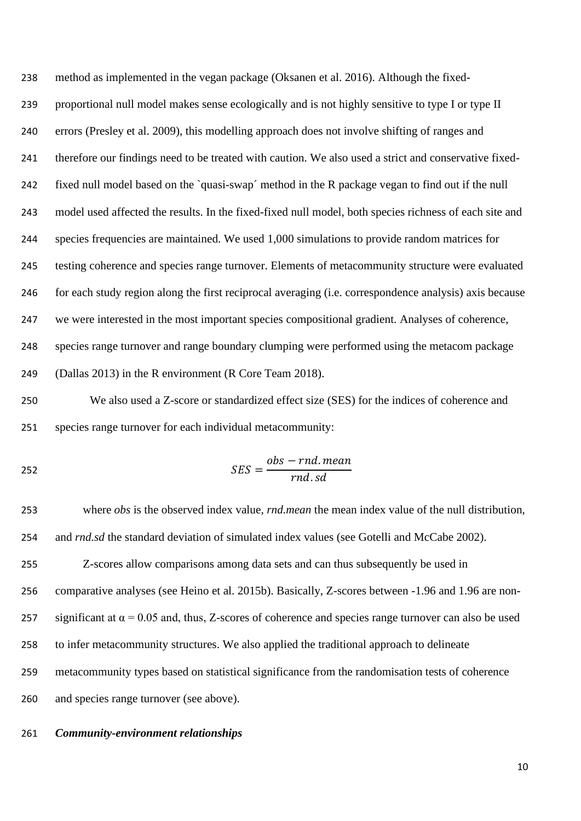method as implemented in the vegan package (Oksanen et al. 2016). Although the fixed- proportional null model makes sense ecologically and is not highly sensitive to type I or type II errors (Presley et al. 2009), this modelling approach does not involve shifting of ranges and therefore our findings need to be treated with caution. We also used a strict and conservative fixed- fixed null model based on the `quasi-swap´ method in the R package vegan to find out if the null model used affected the results. In the fixed-fixed null model, both species richness of each site and species frequencies are maintained. We used 1,000 simulations to provide random matrices for testing coherence and species range turnover. Elements of metacommunity structure were evaluated for each study region along the first reciprocal averaging (i.e. correspondence analysis) axis because we were interested in the most important species compositional gradient. Analyses of coherence, species range turnover and range boundary clumping were performed using the metacom package (Dallas 2013) in the R environment (R Core Team 2018).

 We also used a Z-score or standardized effect size (SES) for the indices of coherence and species range turnover for each individual metacommunity:

$$
SES = \frac{obs - rnd \cdot mean}{rnd \cdot sd}
$$

 where *obs* is the observed index value, *rnd.mean* the mean index value of the null distribution, 254 and *rnd.sd* the standard deviation of simulated index values (see Gotelli and McCabe 2002). Z-scores allow comparisons among data sets and can thus subsequently be used in comparative analyses (see Heino et al. 2015b). Basically, Z-scores between -1.96 and 1.96 are non-257 significant at  $\alpha = 0.05$  and, thus, Z-scores of coherence and species range turnover can also be used to infer metacommunity structures. We also applied the traditional approach to delineate

metacommunity types based on statistical significance from the randomisation tests of coherence

and species range turnover (see above).

# *Community-environment relationships*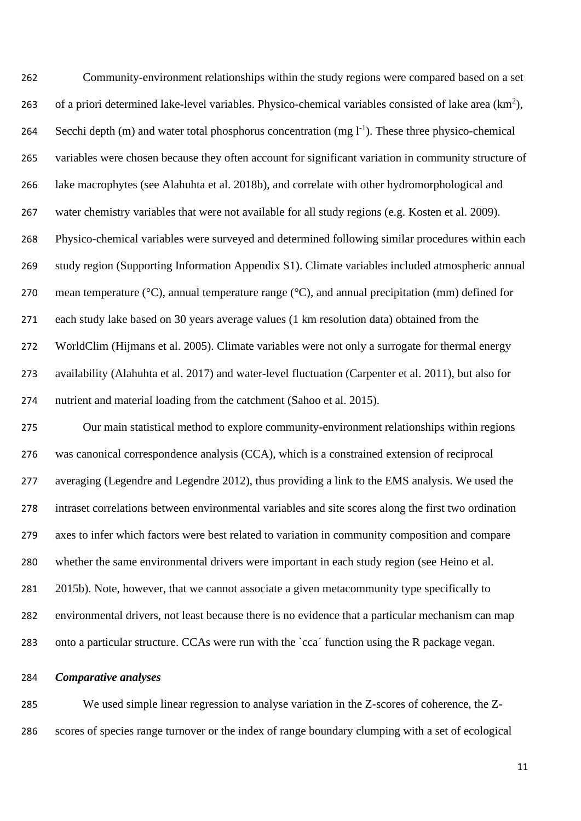Community-environment relationships within the study regions were compared based on a set 263 of a priori determined lake-level variables. Physico-chemical variables consisted of lake area  $(km^2)$ , 264 Secchi depth  $(m)$  and water total phosphorus concentration  $(mg l^{-1})$ . These three physico-chemical variables were chosen because they often account for significant variation in community structure of lake macrophytes (see Alahuhta et al. 2018b), and correlate with other hydromorphological and water chemistry variables that were not available for all study regions (e.g. Kosten et al. 2009). Physico-chemical variables were surveyed and determined following similar procedures within each study region (Supporting Information Appendix S1). Climate variables included atmospheric annual mean temperature (°C), annual temperature range (°C), and annual precipitation (mm) defined for each study lake based on 30 years average values (1 km resolution data) obtained from the WorldClim (Hijmans et al. 2005). Climate variables were not only a surrogate for thermal energy availability (Alahuhta et al. 2017) and water-level fluctuation (Carpenter et al. 2011), but also for nutrient and material loading from the catchment (Sahoo et al. 2015).

 Our main statistical method to explore community-environment relationships within regions was canonical correspondence analysis (CCA), which is a constrained extension of reciprocal averaging (Legendre and Legendre 2012), thus providing a link to the EMS analysis. We used the intraset correlations between environmental variables and site scores along the first two ordination axes to infer which factors were best related to variation in community composition and compare whether the same environmental drivers were important in each study region (see Heino et al. 2015b). Note, however, that we cannot associate a given metacommunity type specifically to environmental drivers, not least because there is no evidence that a particular mechanism can map onto a particular structure. CCAs were run with the `cca´ function using the R package vegan.

## *Comparative analyses*

 We used simple linear regression to analyse variation in the Z-scores of coherence, the Z-scores of species range turnover or the index of range boundary clumping with a set of ecological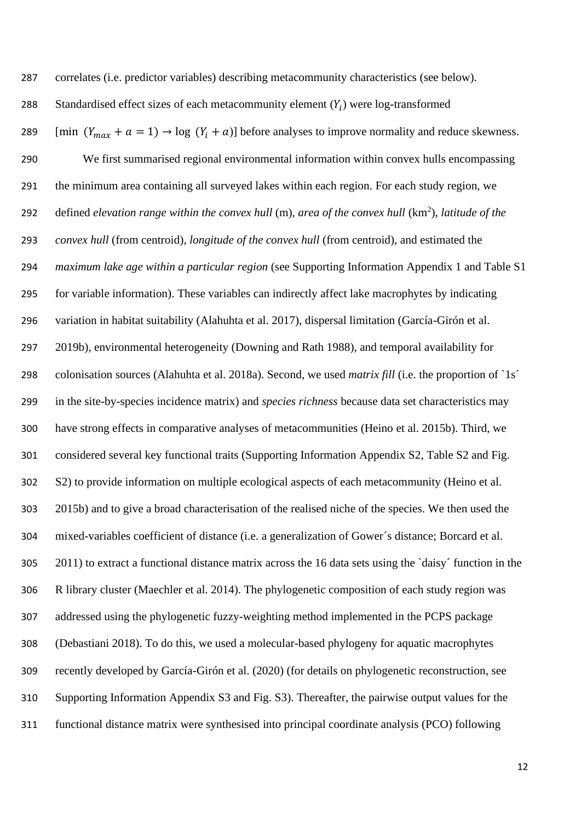| 287 | correlates (i.e. predictor variables) describing metacommunity characteristics (see below).                     |
|-----|-----------------------------------------------------------------------------------------------------------------|
| 288 | Standardised effect sizes of each metacommunity element $(Y_i)$ were log-transformed                            |
| 289 | [min $(Y_{max} + a = 1) \rightarrow \log (Y_i + a)$ ] before analyses to improve normality and reduce skewness. |
| 290 | We first summarised regional environmental information within convex hulls encompassing                         |
| 291 | the minimum area containing all surveyed lakes within each region. For each study region, we                    |
| 292 | defined elevation range within the convex hull (m), area of the convex hull $(km^2)$ , latitude of the          |
| 293 | convex hull (from centroid), longitude of the convex hull (from centroid), and estimated the                    |
| 294 | <i>maximum lake age within a particular region</i> (see Supporting Information Appendix 1 and Table S1          |
| 295 | for variable information). These variables can indirectly affect lake macrophytes by indicating                 |
| 296 | variation in habitat suitability (Alahuhta et al. 2017), dispersal limitation (García-Girón et al.              |
| 297 | 2019b), environmental heterogeneity (Downing and Rath 1988), and temporal availability for                      |
| 298 | colonisation sources (Alahuhta et al. 2018a). Second, we used <i>matrix fill</i> (i.e. the proportion of `1s'   |
| 299 | in the site-by-species incidence matrix) and species richness because data set characteristics may              |
| 300 | have strong effects in comparative analyses of metacommunities (Heino et al. 2015b). Third, we                  |
| 301 | considered several key functional traits (Supporting Information Appendix S2, Table S2 and Fig.                 |
| 302 | S2) to provide information on multiple ecological aspects of each metacommunity (Heino et al.                   |
| 303 | 2015b) and to give a broad characterisation of the realised niche of the species. We then used the              |
| 304 | mixed-variables coefficient of distance (i.e. a generalization of Gower's distance; Borcard et al.              |
| 305 | 2011) to extract a functional distance matrix across the 16 data sets using the `daisy' function in the         |
| 306 | R library cluster (Maechler et al. 2014). The phylogenetic composition of each study region was                 |
| 307 | addressed using the phylogenetic fuzzy-weighting method implemented in the PCPS package                         |
| 308 | (Debastiani 2018). To do this, we used a molecular-based phylogeny for aquatic macrophytes                      |
| 309 | recently developed by García-Girón et al. (2020) (for details on phylogenetic reconstruction, see               |
| 310 | Supporting Information Appendix S3 and Fig. S3). Thereafter, the pairwise output values for the                 |
| 311 | functional distance matrix were synthesised into principal coordinate analysis (PCO) following                  |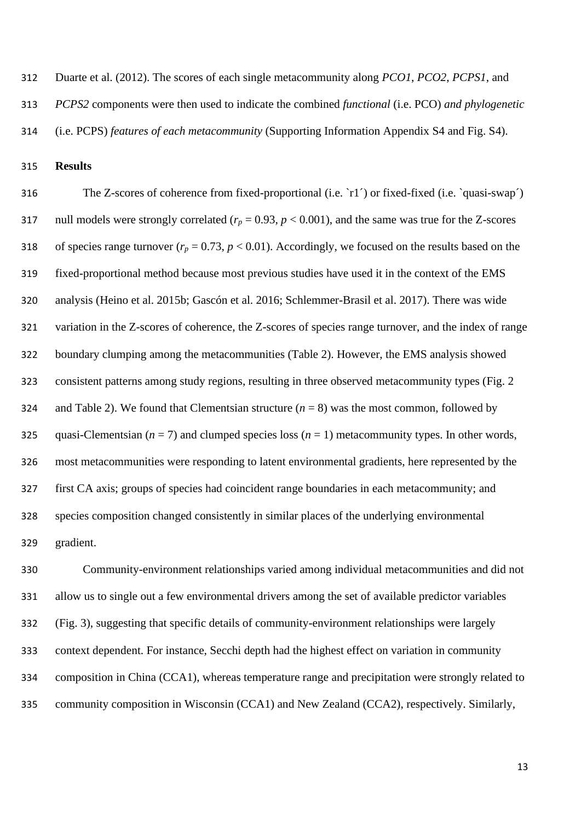Duarte et al. (2012). The scores of each single metacommunity along *PCO1*, *PCO2*, *PCPS1*, and

*PCPS2* components were then used to indicate the combined *functional* (i.e. PCO) *and phylogenetic* 

(i.e. PCPS) *features of each metacommunity* (Supporting Information Appendix S4 and Fig. S4).

**Results**

 The Z-scores of coherence from fixed-proportional (i.e. `r1´) or fixed-fixed (i.e. `quasi-swap´) 317 null models were strongly correlated  $(r_p = 0.93, p < 0.001)$ , and the same was true for the Z-scores 318 of species range turnover  $(r_p = 0.73, p < 0.01)$ . Accordingly, we focused on the results based on the fixed-proportional method because most previous studies have used it in the context of the EMS analysis (Heino et al. 2015b; Gascón et al. 2016; Schlemmer-Brasil et al. 2017). There was wide variation in the Z-scores of coherence, the Z-scores of species range turnover, and the index of range boundary clumping among the metacommunities (Table 2). However, the EMS analysis showed consistent patterns among study regions, resulting in three observed metacommunity types (Fig. 2 324 and Table 2). We found that Clementsian structure  $(n = 8)$  was the most common, followed by 325 quasi-Clementsian  $(n = 7)$  and clumped species loss  $(n = 1)$  metacommunity types. In other words, most metacommunities were responding to latent environmental gradients, here represented by the first CA axis; groups of species had coincident range boundaries in each metacommunity; and species composition changed consistently in similar places of the underlying environmental gradient.

 Community-environment relationships varied among individual metacommunities and did not allow us to single out a few environmental drivers among the set of available predictor variables (Fig. 3), suggesting that specific details of community-environment relationships were largely context dependent. For instance, Secchi depth had the highest effect on variation in community composition in China (CCA1), whereas temperature range and precipitation were strongly related to community composition in Wisconsin (CCA1) and New Zealand (CCA2), respectively. Similarly,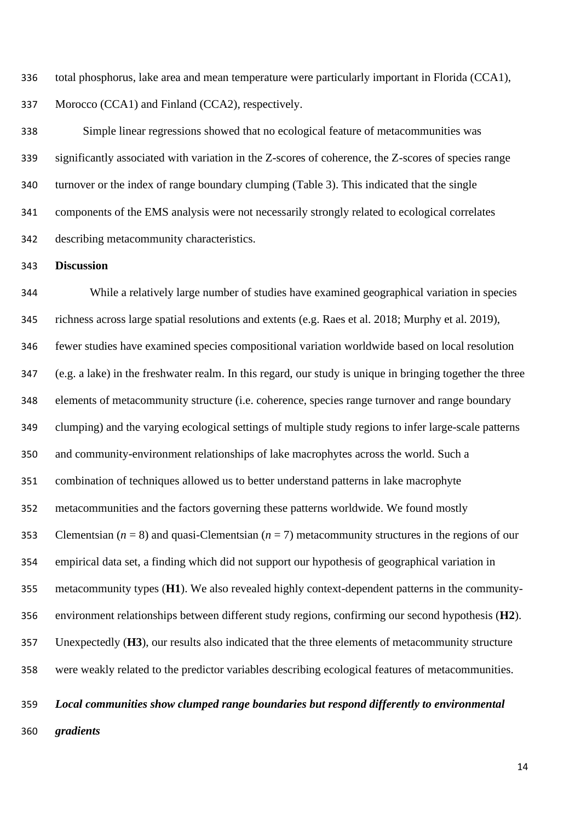total phosphorus, lake area and mean temperature were particularly important in Florida (CCA1), Morocco (CCA1) and Finland (CCA2), respectively.

 Simple linear regressions showed that no ecological feature of metacommunities was significantly associated with variation in the Z-scores of coherence, the Z-scores of species range turnover or the index of range boundary clumping (Table 3). This indicated that the single components of the EMS analysis were not necessarily strongly related to ecological correlates describing metacommunity characteristics.

### **Discussion**

 While a relatively large number of studies have examined geographical variation in species richness across large spatial resolutions and extents (e.g. Raes et al. 2018; Murphy et al. 2019), fewer studies have examined species compositional variation worldwide based on local resolution (e.g. a lake) in the freshwater realm. In this regard, our study is unique in bringing together the three elements of metacommunity structure (i.e. coherence, species range turnover and range boundary clumping) and the varying ecological settings of multiple study regions to infer large-scale patterns and community-environment relationships of lake macrophytes across the world. Such a combination of techniques allowed us to better understand patterns in lake macrophyte metacommunities and the factors governing these patterns worldwide. We found mostly Clementsian (*n* = 8) and quasi-Clementsian (*n* = 7) metacommunity structures in the regions of our empirical data set, a finding which did not support our hypothesis of geographical variation in metacommunity types (**H1**). We also revealed highly context-dependent patterns in the community- environment relationships between different study regions, confirming our second hypothesis (**H2**). Unexpectedly (**H3**), our results also indicated that the three elements of metacommunity structure were weakly related to the predictor variables describing ecological features of metacommunities.

# *Local communities show clumped range boundaries but respond differently to environmental*

*gradients*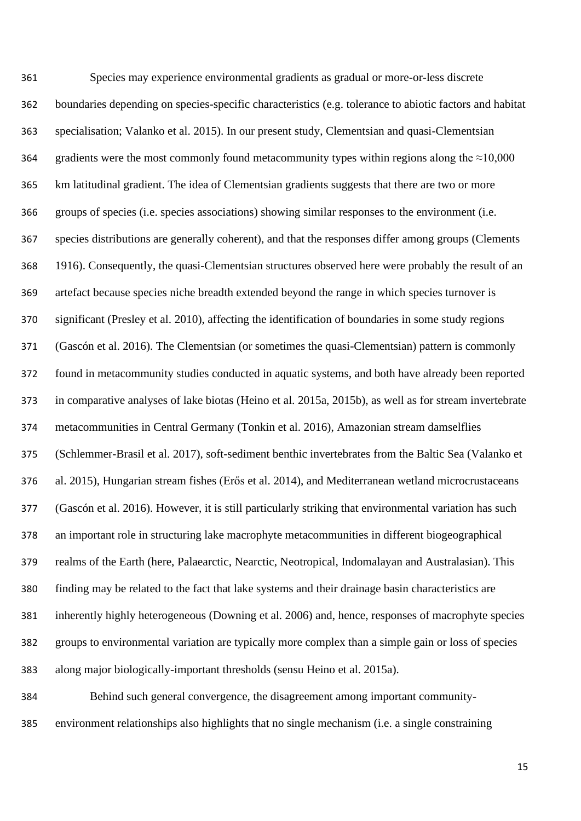Species may experience environmental gradients as gradual or more-or-less discrete boundaries depending on species-specific characteristics (e.g. tolerance to abiotic factors and habitat specialisation; Valanko et al. 2015). In our present study, Clementsian and quasi-Clementsian 364 gradients were the most commonly found metacommunity types within regions along the  $\approx 10,000$  km latitudinal gradient. The idea of Clementsian gradients suggests that there are two or more groups of species (i.e. species associations) showing similar responses to the environment (i.e. species distributions are generally coherent), and that the responses differ among groups (Clements 1916). Consequently, the quasi-Clementsian structures observed here were probably the result of an artefact because species niche breadth extended beyond the range in which species turnover is significant (Presley et al. 2010), affecting the identification of boundaries in some study regions (Gascón et al. 2016). The Clementsian (or sometimes the quasi-Clementsian) pattern is commonly found in metacommunity studies conducted in aquatic systems, and both have already been reported in comparative analyses of lake biotas (Heino et al. 2015a, 2015b), as well as for stream invertebrate metacommunities in Central Germany (Tonkin et al. 2016), Amazonian stream damselflies (Schlemmer-Brasil et al. 2017), soft-sediment benthic invertebrates from the Baltic Sea (Valanko et al. 2015), Hungarian stream fishes (Erős et al. 2014), and Mediterranean wetland microcrustaceans (Gascón et al. 2016). However, it is still particularly striking that environmental variation has such an important role in structuring lake macrophyte metacommunities in different biogeographical realms of the Earth (here, Palaearctic, Nearctic, Neotropical, Indomalayan and Australasian). This finding may be related to the fact that lake systems and their drainage basin characteristics are inherently highly heterogeneous (Downing et al. 2006) and, hence, responses of macrophyte species groups to environmental variation are typically more complex than a simple gain or loss of species along major biologically-important thresholds (sensu Heino et al. 2015a). Behind such general convergence, the disagreement among important community-

environment relationships also highlights that no single mechanism (i.e. a single constraining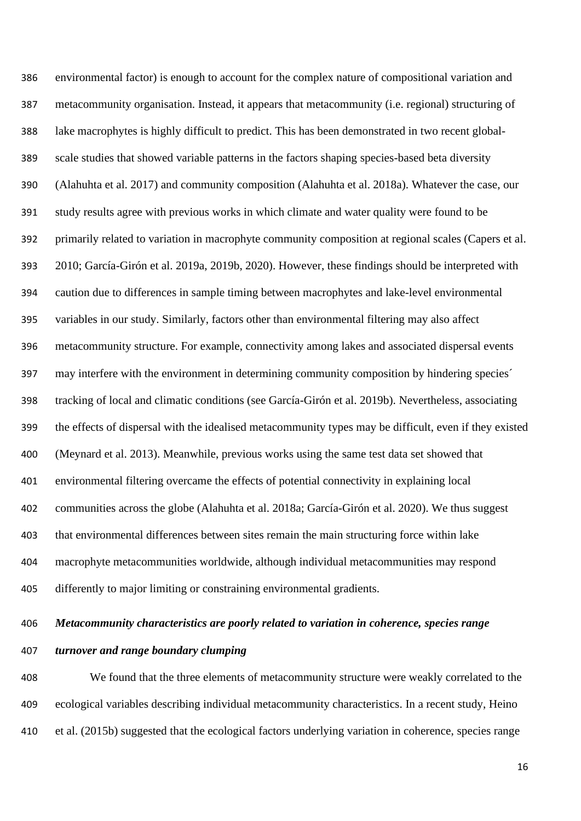environmental factor) is enough to account for the complex nature of compositional variation and metacommunity organisation. Instead, it appears that metacommunity (i.e. regional) structuring of lake macrophytes is highly difficult to predict. This has been demonstrated in two recent global- scale studies that showed variable patterns in the factors shaping species-based beta diversity (Alahuhta et al. 2017) and community composition (Alahuhta et al. 2018a). Whatever the case, our study results agree with previous works in which climate and water quality were found to be primarily related to variation in macrophyte community composition at regional scales (Capers et al. 2010; García-Girón et al. 2019a, 2019b, 2020). However, these findings should be interpreted with caution due to differences in sample timing between macrophytes and lake-level environmental variables in our study. Similarly, factors other than environmental filtering may also affect metacommunity structure. For example, connectivity among lakes and associated dispersal events may interfere with the environment in determining community composition by hindering species´ tracking of local and climatic conditions (see García-Girón et al. 2019b). Nevertheless, associating the effects of dispersal with the idealised metacommunity types may be difficult, even if they existed (Meynard et al. 2013). Meanwhile, previous works using the same test data set showed that environmental filtering overcame the effects of potential connectivity in explaining local communities across the globe (Alahuhta et al. 2018a; García-Girón et al. 2020). We thus suggest that environmental differences between sites remain the main structuring force within lake macrophyte metacommunities worldwide, although individual metacommunities may respond differently to major limiting or constraining environmental gradients.

# *Metacommunity characteristics are poorly related to variation in coherence, species range*

# *turnover and range boundary clumping*

 We found that the three elements of metacommunity structure were weakly correlated to the ecological variables describing individual metacommunity characteristics. In a recent study, Heino et al. (2015b) suggested that the ecological factors underlying variation in coherence, species range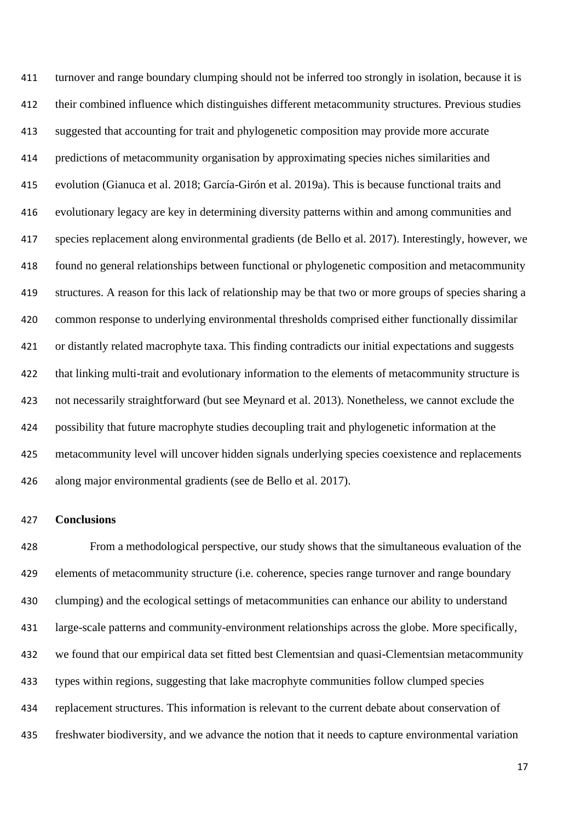turnover and range boundary clumping should not be inferred too strongly in isolation, because it is their combined influence which distinguishes different metacommunity structures. Previous studies suggested that accounting for trait and phylogenetic composition may provide more accurate predictions of metacommunity organisation by approximating species niches similarities and evolution (Gianuca et al. 2018; García-Girón et al. 2019a). This is because functional traits and evolutionary legacy are key in determining diversity patterns within and among communities and species replacement along environmental gradients (de Bello et al. 2017). Interestingly, however, we found no general relationships between functional or phylogenetic composition and metacommunity structures. A reason for this lack of relationship may be that two or more groups of species sharing a common response to underlying environmental thresholds comprised either functionally dissimilar or distantly related macrophyte taxa. This finding contradicts our initial expectations and suggests that linking multi-trait and evolutionary information to the elements of metacommunity structure is not necessarily straightforward (but see Meynard et al. 2013). Nonetheless, we cannot exclude the possibility that future macrophyte studies decoupling trait and phylogenetic information at the metacommunity level will uncover hidden signals underlying species coexistence and replacements along major environmental gradients (see de Bello et al. 2017).

# **Conclusions**

 From a methodological perspective, our study shows that the simultaneous evaluation of the elements of metacommunity structure (i.e. coherence, species range turnover and range boundary clumping) and the ecological settings of metacommunities can enhance our ability to understand large-scale patterns and community-environment relationships across the globe. More specifically, we found that our empirical data set fitted best Clementsian and quasi-Clementsian metacommunity types within regions, suggesting that lake macrophyte communities follow clumped species replacement structures. This information is relevant to the current debate about conservation of freshwater biodiversity, and we advance the notion that it needs to capture environmental variation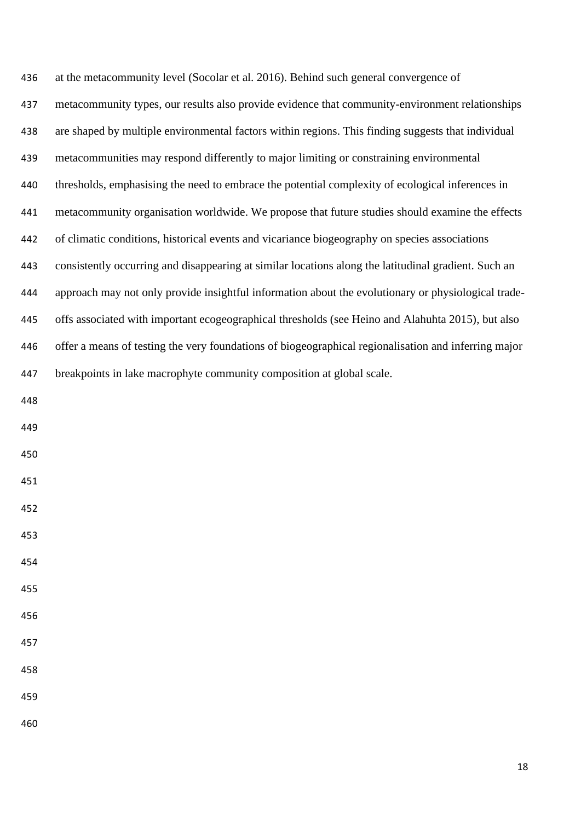| 436 | at the metacommunity level (Socolar et al. 2016). Behind such general convergence of                 |
|-----|------------------------------------------------------------------------------------------------------|
| 437 | metacommunity types, our results also provide evidence that community-environment relationships      |
| 438 | are shaped by multiple environmental factors within regions. This finding suggests that individual   |
| 439 | metacommunities may respond differently to major limiting or constraining environmental              |
| 440 | thresholds, emphasising the need to embrace the potential complexity of ecological inferences in     |
| 441 | metacommunity organisation worldwide. We propose that future studies should examine the effects      |
| 442 | of climatic conditions, historical events and vicariance biogeography on species associations        |
| 443 | consistently occurring and disappearing at similar locations along the latitudinal gradient. Such an |
| 444 | approach may not only provide insightful information about the evolutionary or physiological trade-  |
| 445 | offs associated with important ecogeographical thresholds (see Heino and Alahuhta 2015), but also    |
| 446 | offer a means of testing the very foundations of biogeographical regionalisation and inferring major |
| 447 | breakpoints in lake macrophyte community composition at global scale.                                |
| 448 |                                                                                                      |
| 449 |                                                                                                      |
| 450 |                                                                                                      |
| 451 |                                                                                                      |
| 452 |                                                                                                      |
| 453 |                                                                                                      |
| 454 |                                                                                                      |
| 455 |                                                                                                      |
| 456 |                                                                                                      |
| 457 |                                                                                                      |
| 458 |                                                                                                      |
| 459 |                                                                                                      |
| 460 |                                                                                                      |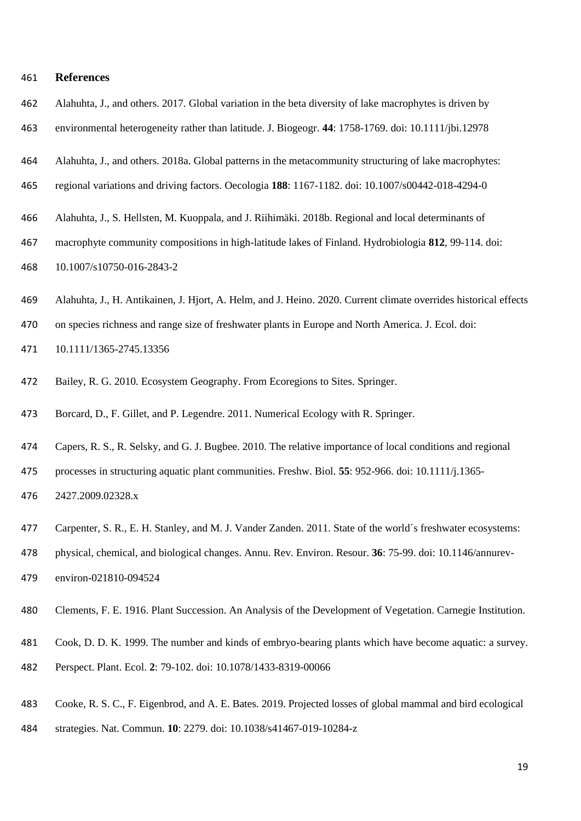#### **References**

- Alahuhta, J., and others. 2017. Global variation in the beta diversity of lake macrophytes is driven by
- environmental heterogeneity rather than latitude. J. Biogeogr. **44**: 1758-1769. doi: 10.1111/jbi.12978
- Alahuhta, J., and others. 2018a. Global patterns in the metacommunity structuring of lake macrophytes:
- regional variations and driving factors. Oecologia **188**: 1167-1182. doi: 10.1007/s00442-018-4294-0
- Alahuhta, J., S. Hellsten, M. Kuoppala, and J. Riihimäki. 2018b. Regional and local determinants of
- macrophyte community compositions in high-latitude lakes of Finland. Hydrobiologia **812**, 99-114. doi: 10.1007/s10750-016-2843-2
- Alahuhta, J., H. Antikainen, J. Hjort, A. Helm, and J. Heino. 2020. Current climate overrides historical effects
- on species richness and range size of freshwater plants in Europe and North America. J. Ecol. doi:
- 10.1111/1365-2745.13356
- Bailey, R. G. 2010. Ecosystem Geography. From Ecoregions to Sites. Springer.
- Borcard, D., F. Gillet, and P. Legendre. 2011. Numerical Ecology with R. Springer.
- Capers, R. S., R. Selsky, and G. J. Bugbee. 2010. The relative importance of local conditions and regional
- processes in structuring aquatic plant communities. Freshw. Biol. **55**: 952-966. doi: 10.1111/j.1365-
- 2427.2009.02328.x
- Carpenter, S. R., E. H. Stanley, and M. J. Vander Zanden. 2011. State of the world´s freshwater ecosystems:
- physical, chemical, and biological changes. Annu. Rev. Environ. Resour. **36**: 75-99. doi: 10.1146/annurev-
- environ-021810-094524
- Clements, F. E. 1916. Plant Succession. An Analysis of the Development of Vegetation. Carnegie Institution.
- Cook, D. D. K. 1999. The number and kinds of embryo-bearing plants which have become aquatic: a survey.
- Perspect. Plant. Ecol. **2**: 79-102. doi: 10.1078/1433-8319-00066
- Cooke, R. S. C., F. Eigenbrod, and A. E. Bates. 2019. Projected losses of global mammal and bird ecological
- strategies. Nat. Commun. **10**: 2279. doi: 10.1038/s41467-019-10284-z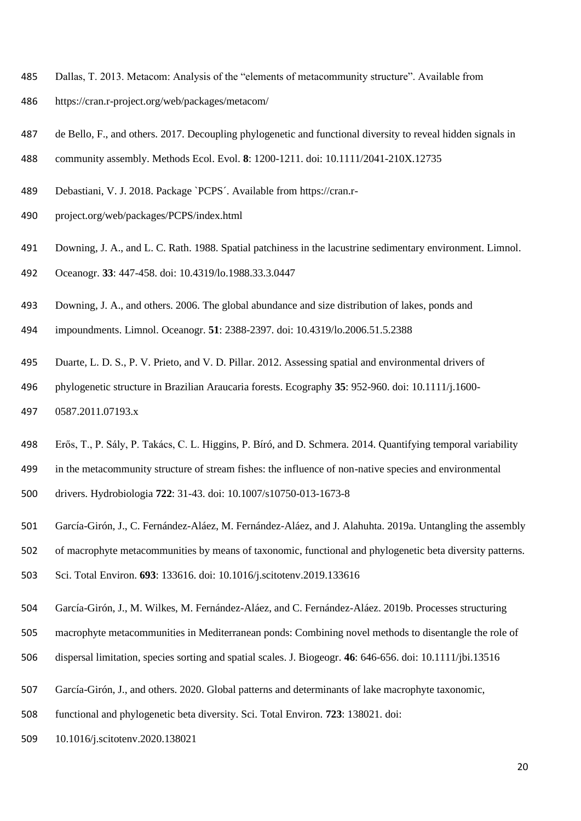- Dallas, T. 2013. Metacom: Analysis of the "elements of metacommunity structure". Available from
- https://cran.r-project.org/web/packages/metacom/
- de Bello, F., and others. 2017. Decoupling phylogenetic and functional diversity to reveal hidden signals in
- community assembly. Methods Ecol. Evol. **8**: 1200-1211. doi: 10.1111/2041-210X.12735
- Debastiani, V. J. 2018. Package `PCPS´. Available from https://cran.r-
- project.org/web/packages/PCPS/index.html
- Downing, J. A., and L. C. Rath. 1988. Spatial patchiness in the lacustrine sedimentary environment. Limnol.
- Oceanogr. **33**: 447-458. doi: 10.4319/lo.1988.33.3.0447
- Downing, J. A., and others. 2006. The global abundance and size distribution of lakes, ponds and
- impoundments. Limnol. Oceanogr. **51**: 2388-2397. doi: 10.4319/lo.2006.51.5.2388
- Duarte, L. D. S., P. V. Prieto, and V. D. Pillar. 2012. Assessing spatial and environmental drivers of
- phylogenetic structure in Brazilian Araucaria forests. Ecography **35**: 952-960. doi: 10.1111/j.1600-
- 0587.2011.07193.x
- Erős, T., P. Sály, P. Takács, C. L. Higgins, P. Bíró, and D. Schmera. 2014. Quantifying temporal variability
- in the metacommunity structure of stream fishes: the influence of non-native species and environmental
- drivers. Hydrobiologia **722**: 31-43. doi: 10.1007/s10750-013-1673-8
- García-Girón, J., C. Fernández-Aláez, M. Fernández-Aláez, and J. Alahuhta. 2019a. Untangling the assembly
- of macrophyte metacommunities by means of taxonomic, functional and phylogenetic beta diversity patterns.
- Sci. Total Environ. **693**: 133616. doi: 10.1016/j.scitotenv.2019.133616
- García-Girón, J., M. Wilkes, M. Fernández-Aláez, and C. Fernández-Aláez. 2019b. Processes structuring
- macrophyte metacommunities in Mediterranean ponds: Combining novel methods to disentangle the role of
- dispersal limitation, species sorting and spatial scales. J. Biogeogr. **46**: 646-656. doi: 10.1111/jbi.13516
- García-Girón, J., and others. 2020. Global patterns and determinants of lake macrophyte taxonomic,
- functional and phylogenetic beta diversity. Sci. Total Environ. **723**: 138021. doi:
- 10.1016/j.scitotenv.2020.138021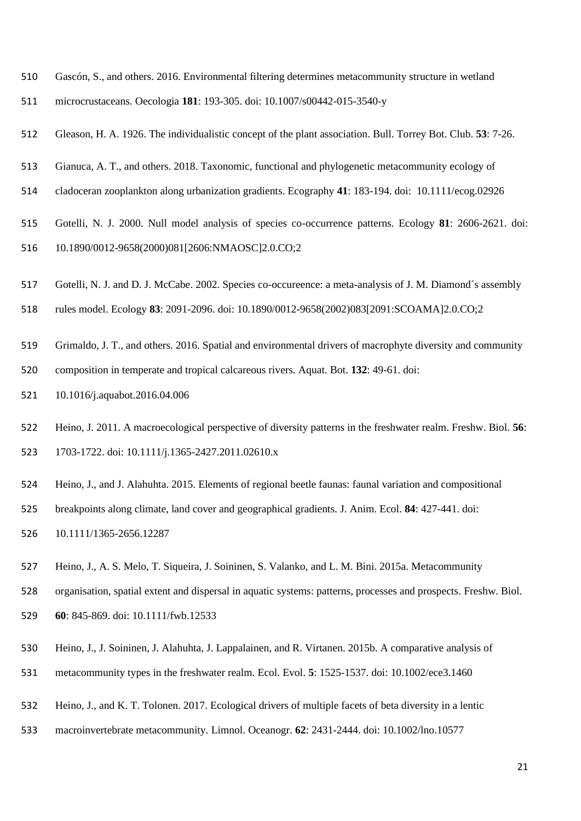- Gascón, S., and others. 2016. Environmental filtering determines metacommunity structure in wetland
- microcrustaceans. Oecologia **181**: 193-305. doi: 10.1007/s00442-015-3540-y
- Gleason, H. A. 1926. The individualistic concept of the plant association. Bull. Torrey Bot. Club. **53**: 7-26.
- Gianuca, A. T., and others. 2018. Taxonomic, functional and phylogenetic metacommunity ecology of
- cladoceran zooplankton along urbanization gradients. Ecography **41**: 183-194. doi: 10.1111/ecog.02926
- Gotelli, N. J. 2000. Null model analysis of species co-occurrence patterns. Ecology **81**: 2606-2621. doi: 10.1890/0012-9658(2000)081[2606:NMAOSC]2.0.CO;2
- Gotelli, N. J. and D. J. McCabe. 2002. Species co-occureence: a meta-analysis of J. M. Diamond´s assembly
- rules model. Ecology **83**: 2091-2096. doi: 10.1890/0012-9658(2002)083[2091:SCOAMA]2.0.CO;2
- Grimaldo, J. T., and others. 2016. Spatial and environmental drivers of macrophyte diversity and community composition in temperate and tropical calcareous rivers. Aquat. Bot. **132**: 49-61. doi:
- 10.1016/j.aquabot.2016.04.006
- 
- Heino, J. 2011. A macroecological perspective of diversity patterns in the freshwater realm. Freshw. Biol. **56**: 1703-1722. doi: 10.1111/j.1365-2427.2011.02610.x
- Heino, J., and J. Alahuhta. 2015. Elements of regional beetle faunas: faunal variation and compositional
- breakpoints along climate, land cover and geographical gradients. J. Anim. Ecol. **84**: 427-441. doi:
- 10.1111/1365-2656.12287
- Heino, J., A. S. Melo, T. Siqueira, J. Soininen, S. Valanko, and L. M. Bini. 2015a. Metacommunity

organisation, spatial extent and dispersal in aquatic systems: patterns, processes and prospects. Freshw. Biol.

- **60**: 845-869. doi: 10.1111/fwb.12533
- Heino, J., J. Soininen, J. Alahuhta, J. Lappalainen, and R. Virtanen. 2015b. A comparative analysis of
- metacommunity types in the freshwater realm. Ecol. Evol. **5**: 1525-1537. doi: 10.1002/ece3.1460
- Heino, J., and K. T. Tolonen. 2017. Ecological drivers of multiple facets of beta diversity in a lentic
- macroinvertebrate metacommunity. Limnol. Oceanogr. **62**: 2431-2444. doi: 10.1002/lno.10577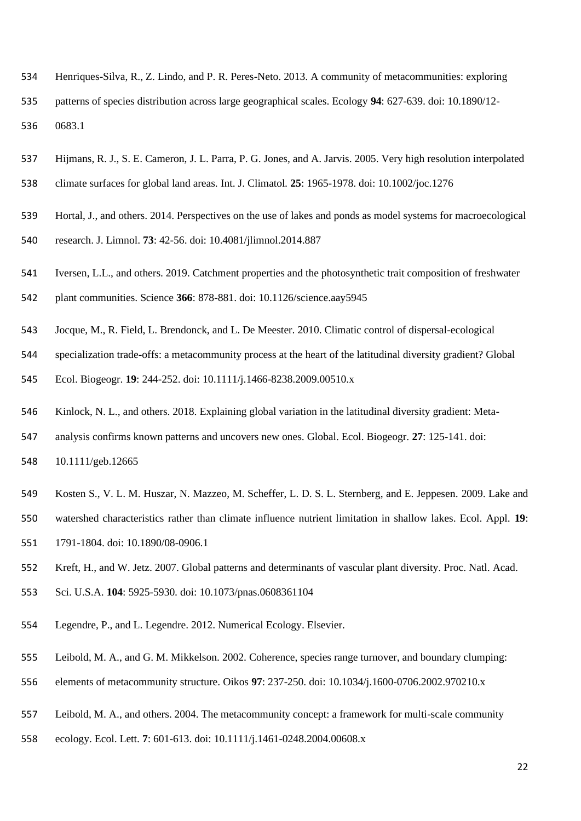Henriques-Silva, R., Z. Lindo, and P. R. Peres-Neto. 2013. A community of metacommunities: exploring patterns of species distribution across large geographical scales. Ecology **94**: 627-639. doi: 10.1890/12-

0683.1

- Hijmans, R. J., S. E. Cameron, J. L. Parra, P. G. Jones, and A. Jarvis. 2005. Very high resolution interpolated climate surfaces for global land areas. Int. J. Climatol*.* **25**: 1965-1978. doi: 10.1002/joc.1276
- Hortal, J., and others. 2014. Perspectives on the use of lakes and ponds as model systems for macroecological research. J. Limnol. **73**: 42-56. doi: 10.4081/jlimnol.2014.887
- Iversen, L.L., and others. 2019. Catchment properties and the photosynthetic trait composition of freshwater
- plant communities. Science **366**: 878-881. doi: 10.1126/science.aay5945
- Jocque, M., R. Field, L. Brendonck, and L. De Meester. 2010. Climatic control of dispersal-ecological
- specialization trade-offs: a metacommunity process at the heart of the latitudinal diversity gradient? Global
- Ecol. Biogeogr. **19**: 244-252. doi: 10.1111/j.1466-8238.2009.00510.x
- Kinlock, N. L., and others. 2018. Explaining global variation in the latitudinal diversity gradient: Meta-
- analysis confirms known patterns and uncovers new ones. Global. Ecol. Biogeogr. **27**: 125-141. doi:
- 10.1111/geb.12665
- Kosten S., V. L. M. Huszar, N. Mazzeo, M. Scheffer, L. D. S. L. Sternberg, and E. Jeppesen. 2009. Lake and
- watershed characteristics rather than climate influence nutrient limitation in shallow lakes. Ecol. Appl. **19**:
- 1791-1804. doi: 10.1890/08-0906.1
- Kreft, H., and W. Jetz. 2007. Global patterns and determinants of vascular plant diversity. Proc. Natl. Acad.
- Sci. U.S.A. **104**: 5925-5930. doi: 10.1073/pnas.0608361104
- Legendre, P., and L. Legendre. 2012. Numerical Ecology. Elsevier.
- Leibold, M. A., and G. M. Mikkelson. 2002. Coherence, species range turnover, and boundary clumping:
- elements of metacommunity structure. Oikos **97**: 237-250. doi: 10.1034/j.1600-0706.2002.970210.x
- Leibold, M. A., and others. 2004. The metacommunity concept: a framework for multi-scale community
- ecology. Ecol. Lett. **7**: 601-613. doi: 10.1111/j.1461-0248.2004.00608.x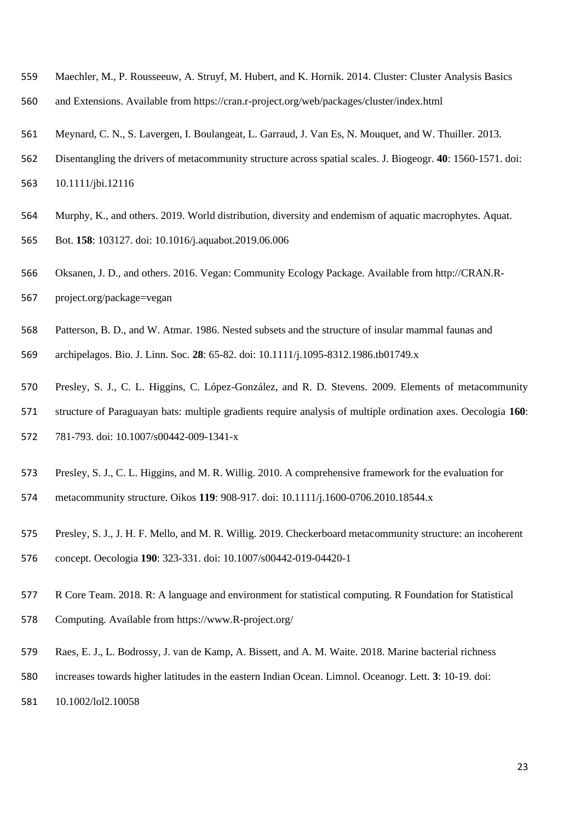- Maechler, M., P. Rousseeuw, A. Struyf, M. Hubert, and K. Hornik. 2014. Cluster: Cluster Analysis Basics
- and Extensions. Available from https://cran.r-project.org/web/packages/cluster/index.html
- Meynard, C. N., S. Lavergen, I. Boulangeat, L. Garraud, J. Van Es, N. Mouquet, and W. Thuiller. 2013.
- Disentangling the drivers of metacommunity structure across spatial scales. J. Biogeogr. **40**: 1560-1571. doi:

10.1111/jbi.12116

- Murphy, K., and others. 2019. World distribution, diversity and endemism of aquatic macrophytes. Aquat. Bot. **158**: 103127. doi: 10.1016/j.aquabot.2019.06.006
- Oksanen, J. D., and others. 2016. Vegan: Community Ecology Package*.* Available from [http://CRAN.R-](http://cran.r-project.org/package=vegan)[project.org/package=vegan](http://cran.r-project.org/package=vegan)
- Patterson, B. D., and W. Atmar. 1986. Nested subsets and the structure of insular mammal faunas and archipelagos. Bio. J. Linn. Soc. **28**: 65-82. doi: 10.1111/j.1095-8312.1986.tb01749.x
- Presley, S. J., C. L. Higgins, C. López-González, and R. D. Stevens. 2009. Elements of metacommunity
- structure of Paraguayan bats: multiple gradients require analysis of multiple ordination axes. Oecologia **160**:
- 781-793. doi: 10.1007/s00442-009-1341-x
- Presley, S. J., C. L. Higgins, and M. R. Willig. 2010. A comprehensive framework for the evaluation for
- metacommunity structure. Oikos **119**: 908-917. doi: 10.1111/j.1600-0706.2010.18544.x
- Presley, S. J., J. H. F. Mello, and M. R. Willig. 2019. Checkerboard metacommunity structure: an incoherent
- concept. Oecologia **190**: 323-331. doi: 10.1007/s00442-019-04420-1
- R Core Team. 2018. R: A language and environment for statistical computing. R Foundation for Statistical
- Computing. Available from https://www.R-project.org/
- Raes, E. J., L. Bodrossy, J. van de Kamp, A. Bissett, and A. M. Waite. 2018. Marine bacterial richness
- increases towards higher latitudes in the eastern Indian Ocean. Limnol. Oceanogr. Lett. **3**: 10-19. doi:
- 10.1002/lol2.10058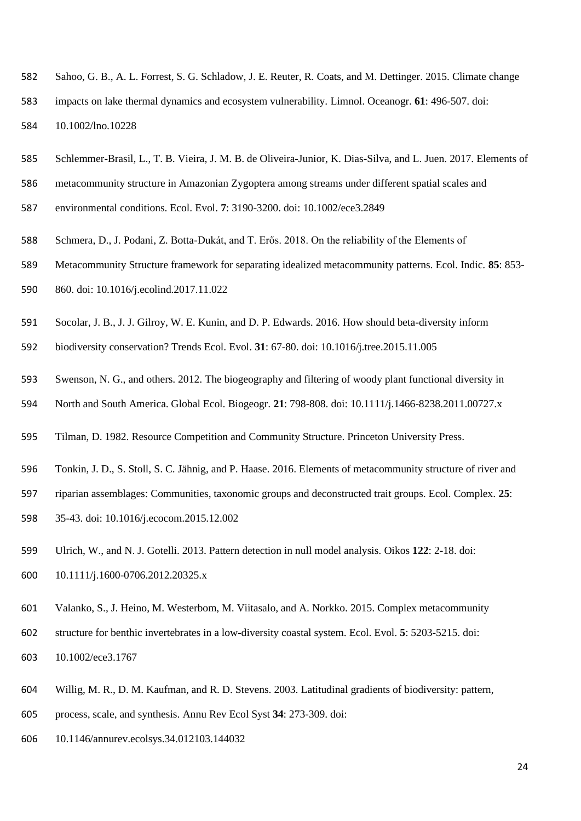- Sahoo, G. B., A. L. Forrest, S. G. Schladow, J. E. Reuter, R. Coats, and M. Dettinger. 2015. Climate change
- impacts on lake thermal dynamics and ecosystem vulnerability. Limnol. Oceanogr. **61**: 496-507. doi: 10.1002/lno.10228
- Schlemmer-Brasil, L., T. B. Vieira, J. M. B. de Oliveira-Junior, K. Dias-Silva, and L. Juen. 2017. Elements of
- metacommunity structure in Amazonian Zygoptera among streams under different spatial scales and
- environmental conditions. Ecol. Evol. **7**: 3190-3200. doi: 10.1002/ece3.2849
- Schmera, D., J. Podani, Z. Botta-Dukát, and T. Erős. 2018. On the reliability of the Elements of
- Metacommunity Structure framework for separating idealized metacommunity patterns. Ecol. Indic. **85**: 853- 860. doi: 10.1016/j.ecolind.2017.11.022
- Socolar, J. B., J. J. Gilroy, W. E. Kunin, and D. P. Edwards. 2016. How should beta-diversity inform
- biodiversity conservation? Trends Ecol. Evol. **31**: 67-80. doi: 10.1016/j.tree.2015.11.005
- Swenson, N. G., and others. 2012. The biogeography and filtering of woody plant functional diversity in
- North and South America. Global Ecol. Biogeogr. **21**: 798-808. doi: 10.1111/j.1466-8238.2011.00727.x
- Tilman, D. 1982. Resource Competition and Community Structure. Princeton University Press.
- Tonkin, J. D., S. Stoll, S. C. Jähnig, and P. Haase. 2016. Elements of metacommunity structure of river and
- riparian assemblages: Communities, taxonomic groups and deconstructed trait groups. Ecol. Complex. **25**:
- 35-43. doi: 10.1016/j.ecocom.2015.12.002
- Ulrich, W., and N. J. Gotelli. 2013. Pattern detection in null model analysis. Oikos **122**: 2-18. doi:
- 10.1111/j.1600-0706.2012.20325.x
- Valanko, S., J. Heino, M. Westerbom, M. Viitasalo, and A. Norkko. 2015. Complex metacommunity
- structure for benthic invertebrates in a low-diversity coastal system. Ecol. Evol. **5**: 5203-5215. doi:
- 10.1002/ece3.1767
- Willig, M. R., D. M. Kaufman, and R. D. Stevens. 2003. Latitudinal gradients of biodiversity: pattern,
- process, scale, and synthesis. Annu Rev Ecol Syst **34**: 273-309. doi:
- 10.1146/annurev.ecolsys.34.012103.144032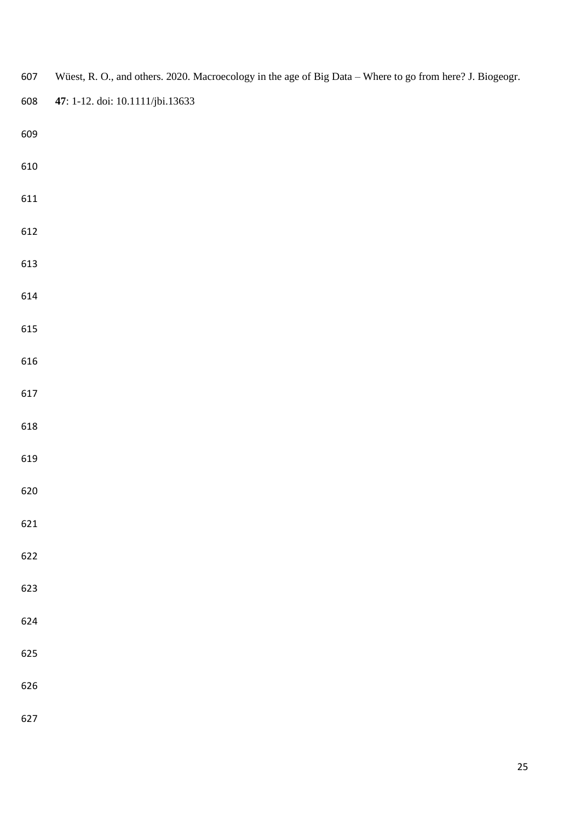| 607 | Wüest, R. O., and others. 2020. Macroecology in the age of Big Data - Where to go from here? J. Biogeogr. |  |
|-----|-----------------------------------------------------------------------------------------------------------|--|
| 608 | 47: 1-12. doi: 10.1111/jbi.13633                                                                          |  |
| 609 |                                                                                                           |  |
| 610 |                                                                                                           |  |
| 611 |                                                                                                           |  |
| 612 |                                                                                                           |  |
| 613 |                                                                                                           |  |
| 614 |                                                                                                           |  |
| 615 |                                                                                                           |  |
| 616 |                                                                                                           |  |
| 617 |                                                                                                           |  |
| 618 |                                                                                                           |  |
| 619 |                                                                                                           |  |
| 620 |                                                                                                           |  |
| 621 |                                                                                                           |  |
| 622 |                                                                                                           |  |
| 623 |                                                                                                           |  |
| 624 |                                                                                                           |  |
| 625 |                                                                                                           |  |
| 626 |                                                                                                           |  |
| 627 |                                                                                                           |  |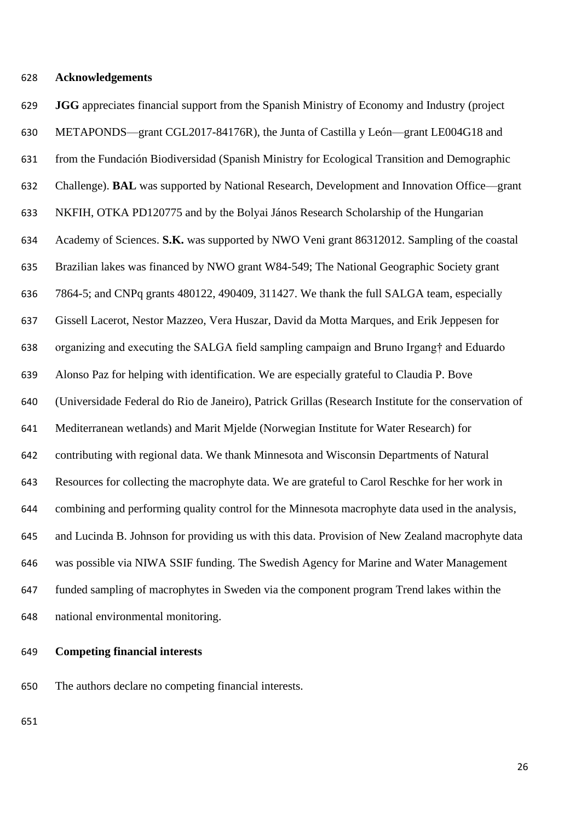# **Acknowledgements**

 **JGG** appreciates financial support from the Spanish Ministry of Economy and Industry (project METAPONDS—grant CGL2017-84176R), the Junta of Castilla y León—grant LE004G18 and from the Fundación Biodiversidad (Spanish Ministry for Ecological Transition and Demographic Challenge). **BAL** was supported by National Research, Development and Innovation Office—grant NKFIH, OTKA PD120775 and by the Bolyai János Research Scholarship of the Hungarian Academy of Sciences. **S.K.** was supported by NWO Veni grant 86312012. Sampling of the coastal Brazilian lakes was financed by NWO grant W84-549; The National Geographic Society grant 7864-5; and CNPq grants 480122, 490409, 311427. We thank the full SALGA team, especially Gissell Lacerot, Nestor Mazzeo, Vera Huszar, David da Motta Marques, and Erik Jeppesen for organizing and executing the SALGA field sampling campaign and Bruno Irgang† and Eduardo Alonso Paz for helping with identification. We are especially grateful to Claudia P. Bove (Universidade Federal do Rio de Janeiro), Patrick Grillas (Research Institute for the conservation of Mediterranean wetlands) and Marit Mjelde (Norwegian Institute for Water Research) for contributing with regional data. We thank Minnesota and Wisconsin Departments of Natural Resources for collecting the macrophyte data. We are grateful to Carol Reschke for her work in combining and performing quality control for the Minnesota macrophyte data used in the analysis, and Lucinda B. Johnson for providing us with this data. Provision of New Zealand macrophyte data was possible via NIWA SSIF funding. The Swedish Agency for Marine and Water Management funded sampling of macrophytes in Sweden via the component program Trend lakes within the national environmental monitoring.

# **Competing financial interests**

The authors declare no competing financial interests.